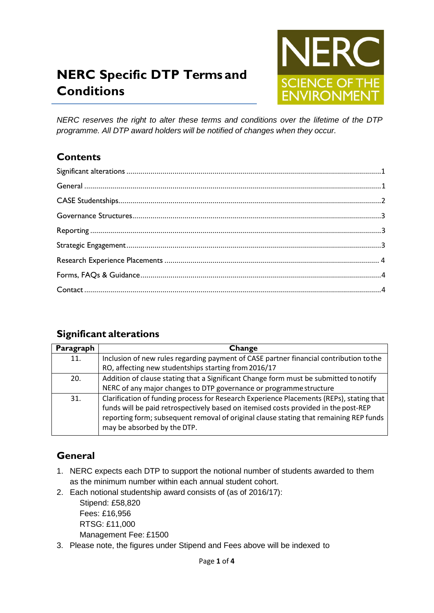# **NERC Specific DTP Terms and Conditions**



*NERC reserves the right to alter these terms and conditions over the lifetime of the DTP programme. All DTP award holders will be notified of changes when they occur.*

## **Contents**

## <span id="page-0-0"></span>**Significant alterations**

| Paragraph | Change                                                                                                                                                                                                                                                                                                   |
|-----------|----------------------------------------------------------------------------------------------------------------------------------------------------------------------------------------------------------------------------------------------------------------------------------------------------------|
| 11.       | Inclusion of new rules regarding payment of CASE partner financial contribution to the                                                                                                                                                                                                                   |
|           | RO, affecting new studentships starting from 2016/17                                                                                                                                                                                                                                                     |
| 20.       | Addition of clause stating that a Significant Change form must be submitted tonotify                                                                                                                                                                                                                     |
|           | NERC of any major changes to DTP governance or programme structure                                                                                                                                                                                                                                       |
| 31.       | Clarification of funding process for Research Experience Placements (REPs), stating that<br>funds will be paid retrospectively based on itemised costs provided in the post-REP<br>reporting form; subsequent removal of original clause stating that remaining REP funds<br>may be absorbed by the DTP. |

# <span id="page-0-1"></span>**General**

- 1. NERC expects each DTP to support the notional number of students awarded to them as the minimum number within each annual student cohort.
- 2. Each notional studentship award consists of (as of 2016/17):

Stipend: £58,820 Fees: £16,956 RTSG: £11,000 Management Fee: £1500

3. Please note, the figures under Stipend and Fees above will be indexed to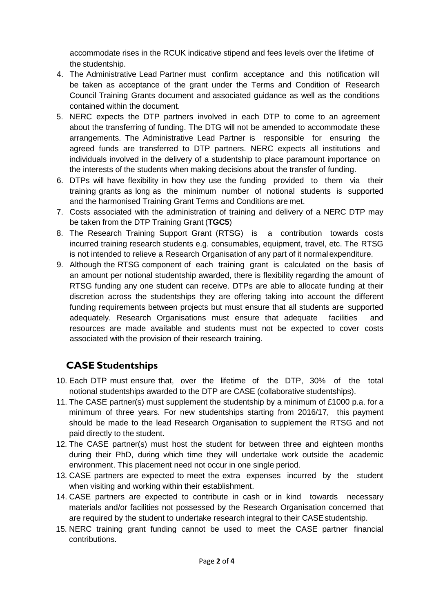accommodate rises in the RCUK indicative stipend and fees levels over the lifetime of the studentship.

- 4. The Administrative Lead Partner must confirm acceptance and this notification will be taken as acceptance of the grant under the Terms and Condition of Research Council Training Grants document and associated guidance as well as the conditions contained within the document.
- 5. NERC expects the DTP partners involved in each DTP to come to an agreement about the transferring of funding. The DTG will not be amended to accommodate these arrangements. The Administrative Lead Partner is responsible for ensuring the agreed funds are transferred to DTP partners. NERC expects all institutions and individuals involved in the delivery of a studentship to place paramount importance on the interests of the students when making decisions about the transfer of funding.
- 6. DTPs will have flexibility in how they use the funding provided to them via their training grants as long as the minimum number of notional students is supported and the harmonised Training Grant Terms and Conditions are met.
- 7. Costs associated with the administration of training and delivery of a NERC DTP may be taken from the DTP Training Grant (**TGC5**)
- 8. The Research Training Support Grant (RTSG) is a contribution towards costs incurred training research students e.g. consumables, equipment, travel, etc. The RTSG is not intended to relieve a Research Organisation of any part of it normal expenditure.
- 9. Although the RTSG component of each training grant is calculated on the basis of an amount per notional studentship awarded, there is flexibility regarding the amount of RTSG funding any one student can receive. DTPs are able to allocate funding at their discretion across the studentships they are offering taking into account the different funding requirements between projects but must ensure that all students are supported adequately. Research Organisations must ensure that adequate facilities and resources are made available and students must not be expected to cover costs associated with the provision of their research training.

## <span id="page-1-0"></span>**CASE Studentships**

- 10. Each DTP must ensure that, over the lifetime of the DTP, 30% of the total notional studentships awarded to the DTP are CASE (collaborative studentships).
- 11. The CASE partner(s) must supplement the studentship by a minimum of £1000 p.a. for a minimum of three years. For new studentships starting from 2016/17, this payment should be made to the lead Research Organisation to supplement the RTSG and not paid directly to the student.
- 12. The CASE partner(s) must host the student for between three and eighteen months during their PhD, during which time they will undertake work outside the academic environment. This placement need not occur in one single period.
- 13. CASE partners are expected to meet the extra expenses incurred by the student when visiting and working within their establishment.
- 14. CASE partners are expected to contribute in cash or in kind towards necessary materials and/or facilities not possessed by the Research Organisation concerned that are required by the student to undertake research integral to their CASE studentship.
- 15. NERC training grant funding cannot be used to meet the CASE partner financial contributions.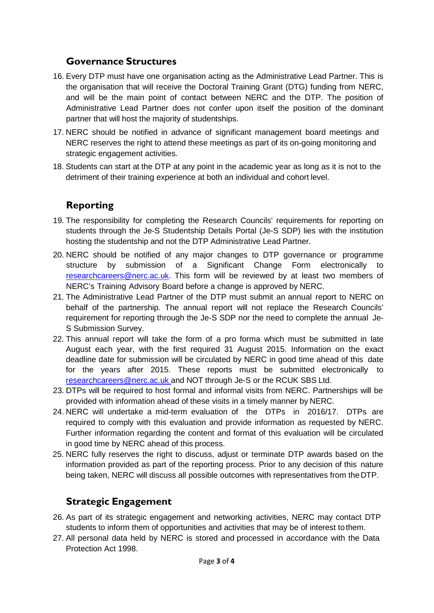#### **Governance Structures**

- <span id="page-2-0"></span>16. Every DTP must have one organisation acting as the Administrative Lead Partner. This is the organisation that will receive the Doctoral Training Grant (DTG) funding from NERC, and will be the main point of contact between NERC and the DTP. The position of Administrative Lead Partner does not confer upon itself the position of the dominant partner that will host the majority of studentships.
- 17. NERC should be notified in advance of significant management board meetings and NERC reserves the right to attend these meetings as part of its on-going monitoring and strategic engagement activities.
- 18. Students can start at the DTP at any point in the academic year as long as it is not to the detriment of their training experience at both an individual and cohort level.

## **Reporting**

- <span id="page-2-1"></span>19. The responsibility for completing the Research Councils' requirements for reporting on students through the Je-S Studentship Details Portal (Je-S SDP) lies with the institution hosting the studentship and not the DTP Administrative Lead Partner.
- 20. NERC should be notified of any major changes to DTP governance or programme structure by submission of a Significant Change Form electronically to [researchcareers@nerc.ac.uk.](mailto:researchcareers@nerc.ac.uk) This form will be reviewed by at least two members of NERC's Training Advisory Board before a change is approved by NERC.
- 21. The Administrative Lead Partner of the DTP must submit an annual report to NERC on behalf of the partnership. The annual report will not replace the Research Councils' requirement for reporting through the Je-S SDP nor the need to complete the annual Je-S Submission Survey.
- 22. This annual report will take the form of a pro forma which must be submitted in late August each year, with the first required 31 August 2015. Information on the exact deadline date for submission will be circulated by NERC in good time ahead of this date for the years after 2015. These reports must be submitted electronically to [researchcareers@nerc.ac.uk a](mailto:researchcareers@nerc.ac.uk)nd NOT through Je-S or the RCUK SBS Ltd.
- 23. DTPs will be required to host formal and informal visits from NERC. Partnerships will be provided with information ahead of these visits in a timely manner by NERC.
- 24. NERC will undertake a mid-term evaluation of the DTPs in 2016/17. DTPs are required to comply with this evaluation and provide information as requested by NERC. Further information regarding the content and format of this evaluation will be circulated in good time by NERC ahead of this process.
- 25. NERC fully reserves the right to discuss, adjust or terminate DTP awards based on the information provided as part of the reporting process. Prior to any decision of this nature being taken, NERC will discuss all possible outcomes with representatives from theDTP.

## <span id="page-2-2"></span>**Strategic Engagement**

- 26. As part of its strategic engagement and networking activities, NERC may contact DTP students to inform them of opportunities and activities that may be of interest tothem.
- 27. All personal data held by NERC is stored and processed in accordance with the Data Protection Act 1998.